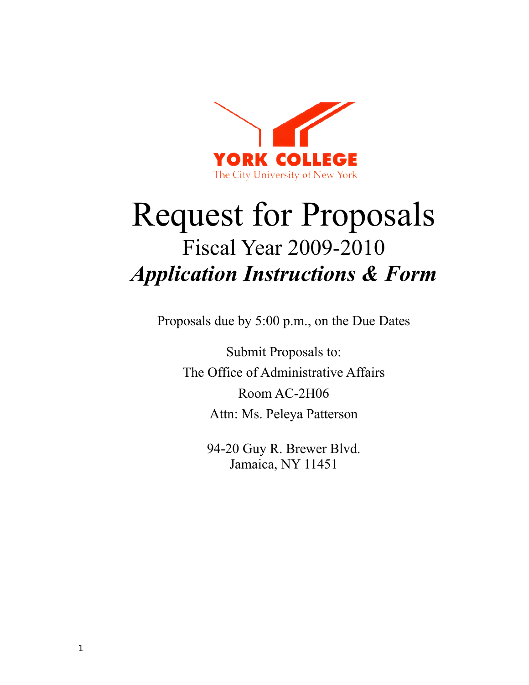

# Request for Proposals Fiscal Year 2009-2010 *Application Instructions & Form*

Proposals due by 5:00 p.m., on the Due Dates

Submit Proposals to: The Office of Administrative Affairs Room AC-2H06 Attn: Ms. Peleya Patterson

> 94-20 Guy R. Brewer Blvd. Jamaica, NY 11451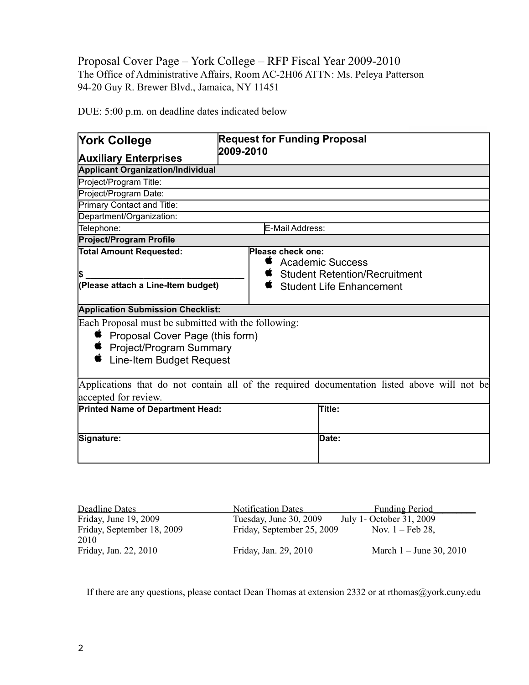### Proposal Cover Page – York College – RFP Fiscal Year 2009-2010 The Office of Administrative Affairs, Room AC-2H06 ATTN: Ms. Peleya Patterson 94-20 Guy R. Brewer Blvd., Jamaica, NY 11451

DUE: 5:00 p.m. on deadline dates indicated below

| <b>York College</b>                                                                                      | <b>Request for Funding Proposal</b><br>2009-2010                                            |  |  |  |
|----------------------------------------------------------------------------------------------------------|---------------------------------------------------------------------------------------------|--|--|--|
| <b>Auxiliary Enterprises</b>                                                                             |                                                                                             |  |  |  |
| <b>Applicant Organization/Individual</b>                                                                 |                                                                                             |  |  |  |
| Project/Program Title:                                                                                   |                                                                                             |  |  |  |
| Project/Program Date:                                                                                    |                                                                                             |  |  |  |
| Primary Contact and Title:                                                                               |                                                                                             |  |  |  |
| Department/Organization:                                                                                 |                                                                                             |  |  |  |
| Telephone:<br>E-Mail Address:                                                                            |                                                                                             |  |  |  |
| <b>Project/Program Profile</b>                                                                           |                                                                                             |  |  |  |
| <b>Total Amount Requested:</b>                                                                           | Please check one:<br>Ż<br><b>Academic Success</b><br><b>Student Retention/Recruitment</b>   |  |  |  |
| (Please attach a Line-Item budget)                                                                       | <b>Student Life Enhancement</b>                                                             |  |  |  |
| <b>Application Submission Checklist:</b>                                                                 |                                                                                             |  |  |  |
| Each Proposal must be submitted with the following:                                                      |                                                                                             |  |  |  |
| <b>■</b> Proposal Cover Page (this form)<br><b>■</b> Project/Program Summary<br>Line-Item Budget Request |                                                                                             |  |  |  |
|                                                                                                          | Applications that do not contain all of the required documentation listed above will not be |  |  |  |
| accepted for review.                                                                                     |                                                                                             |  |  |  |
| <b>Printed Name of Department Head:</b>                                                                  | <b>Title:</b>                                                                               |  |  |  |
| Signature:                                                                                               | Date:                                                                                       |  |  |  |

| <b>Deadline Dates</b>              | <b>Notification Dates</b>  | <b>Funding Period</b>       |
|------------------------------------|----------------------------|-----------------------------|
| Friday, June 19, 2009              | Tuesday, June 30, 2009     | July 1- October 31, 2009    |
| Friday, September 18, 2009<br>2010 | Friday, September 25, 2009 | Nov. $1 - \text{Feb } 28$ , |
| Friday, Jan. 22, 2010              | Friday, Jan. 29, 2010      | March $1 -$ June 30, 2010   |

If there are any questions, please contact Dean Thomas at extension 2332 or at rthomas@york.cuny.edu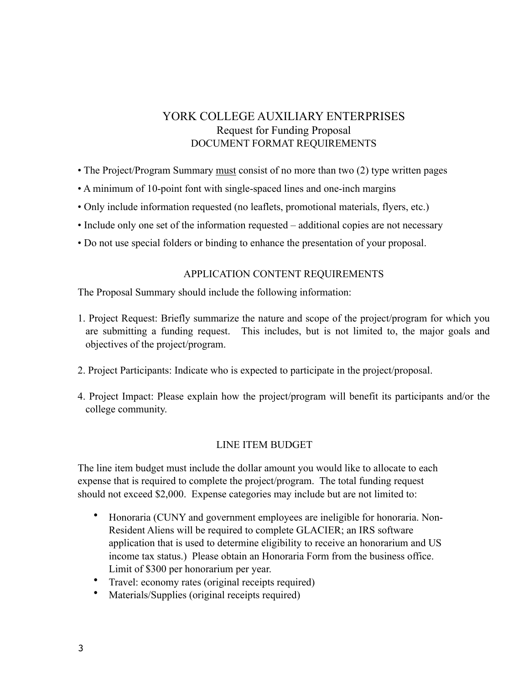## YORK COLLEGE AUXILIARY ENTERPRISES Request for Funding Proposal DOCUMENT FORMAT REQUIREMENTS

- The Project/Program Summary must consist of no more than two (2) type written pages
- A minimum of 10-point font with single-spaced lines and one-inch margins
- Only include information requested (no leaflets, promotional materials, flyers, etc.)
- Include only one set of the information requested additional copies are not necessary
- Do not use special folders or binding to enhance the presentation of your proposal.

#### APPLICATION CONTENT REQUIREMENTS

The Proposal Summary should include the following information:

- 1. Project Request: Briefly summarize the nature and scope of the project/program for which you are submitting a funding request. This includes, but is not limited to, the major goals and objectives of the project/program.
- 2. Project Participants: Indicate who is expected to participate in the project/proposal.
- 4. Project Impact: Please explain how the project/program will benefit its participants and/or the college community.

#### LINE ITEM BUDGET

The line item budget must include the dollar amount you would like to allocate to each expense that is required to complete the project/program. The total funding request should not exceed \$2,000. Expense categories may include but are not limited to:

- Honoraria (CUNY and government employees are ineligible for honoraria. Non-Resident Aliens will be required to complete GLACIER; an IRS software application that is used to determine eligibility to receive an honorarium and US income tax status.) Please obtain an Honoraria Form from the business office. Limit of \$300 per honorarium per year.
- Travel: economy rates (original receipts required)
- Materials/Supplies (original receipts required)